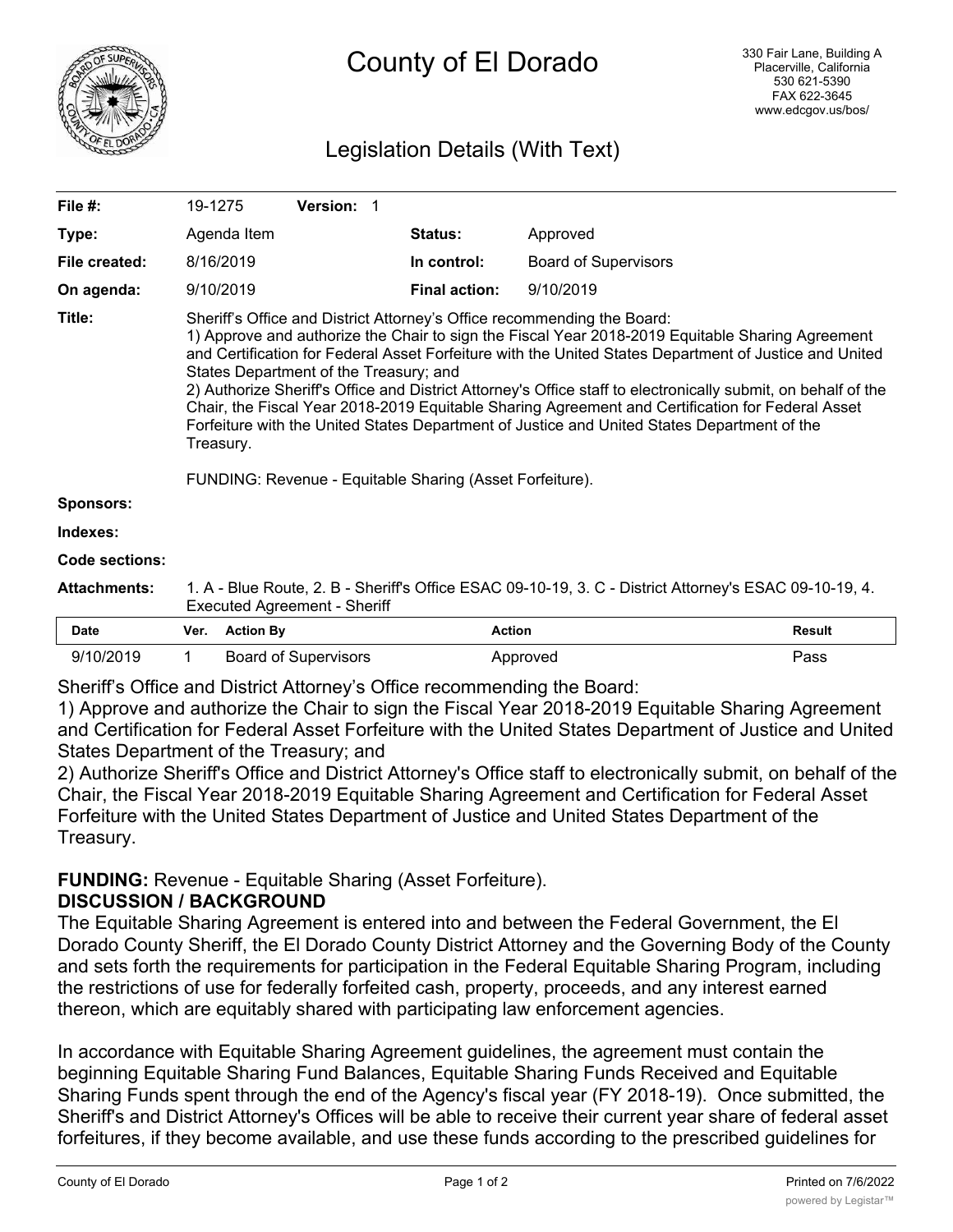

# Legislation Details (With Text)

| File $#$ :          | 19-1275                                                                                                                                                                                                                                                                                                                                                                                                                                                                                                                                                                                                                                                          |                  | <b>Version: 1</b>           |  |                      |                             |               |
|---------------------|------------------------------------------------------------------------------------------------------------------------------------------------------------------------------------------------------------------------------------------------------------------------------------------------------------------------------------------------------------------------------------------------------------------------------------------------------------------------------------------------------------------------------------------------------------------------------------------------------------------------------------------------------------------|------------------|-----------------------------|--|----------------------|-----------------------------|---------------|
| Type:               |                                                                                                                                                                                                                                                                                                                                                                                                                                                                                                                                                                                                                                                                  | Agenda Item      |                             |  | Status:              | Approved                    |               |
| File created:       |                                                                                                                                                                                                                                                                                                                                                                                                                                                                                                                                                                                                                                                                  | 8/16/2019        |                             |  | In control:          | <b>Board of Supervisors</b> |               |
| On agenda:          |                                                                                                                                                                                                                                                                                                                                                                                                                                                                                                                                                                                                                                                                  | 9/10/2019        |                             |  | <b>Final action:</b> | 9/10/2019                   |               |
| Title:              | Sheriff's Office and District Attorney's Office recommending the Board:<br>1) Approve and authorize the Chair to sign the Fiscal Year 2018-2019 Equitable Sharing Agreement<br>and Certification for Federal Asset Forfeiture with the United States Department of Justice and United<br>States Department of the Treasury; and<br>2) Authorize Sheriff's Office and District Attorney's Office staff to electronically submit, on behalf of the<br>Chair, the Fiscal Year 2018-2019 Equitable Sharing Agreement and Certification for Federal Asset<br>Forfeiture with the United States Department of Justice and United States Department of the<br>Treasury. |                  |                             |  |                      |                             |               |
|                     | FUNDING: Revenue - Equitable Sharing (Asset Forfeiture).                                                                                                                                                                                                                                                                                                                                                                                                                                                                                                                                                                                                         |                  |                             |  |                      |                             |               |
| <b>Sponsors:</b>    |                                                                                                                                                                                                                                                                                                                                                                                                                                                                                                                                                                                                                                                                  |                  |                             |  |                      |                             |               |
| Indexes:            |                                                                                                                                                                                                                                                                                                                                                                                                                                                                                                                                                                                                                                                                  |                  |                             |  |                      |                             |               |
| Code sections:      |                                                                                                                                                                                                                                                                                                                                                                                                                                                                                                                                                                                                                                                                  |                  |                             |  |                      |                             |               |
| <b>Attachments:</b> | 1. A - Blue Route, 2. B - Sheriff's Office ESAC 09-10-19, 3. C - District Attorney's ESAC 09-10-19, 4.<br><b>Executed Agreement - Sheriff</b>                                                                                                                                                                                                                                                                                                                                                                                                                                                                                                                    |                  |                             |  |                      |                             |               |
| <b>Date</b>         | Ver.                                                                                                                                                                                                                                                                                                                                                                                                                                                                                                                                                                                                                                                             | <b>Action By</b> |                             |  |                      | <b>Action</b>               | <b>Result</b> |
| 9/10/2019           | 1                                                                                                                                                                                                                                                                                                                                                                                                                                                                                                                                                                                                                                                                |                  | <b>Board of Supervisors</b> |  |                      | Approved                    | Pass          |

Sheriff's Office and District Attorney's Office recommending the Board:

1) Approve and authorize the Chair to sign the Fiscal Year 2018-2019 Equitable Sharing Agreement and Certification for Federal Asset Forfeiture with the United States Department of Justice and United States Department of the Treasury; and

2) Authorize Sheriff's Office and District Attorney's Office staff to electronically submit, on behalf of the Chair, the Fiscal Year 2018-2019 Equitable Sharing Agreement and Certification for Federal Asset Forfeiture with the United States Department of Justice and United States Department of the Treasury.

## **FUNDING:** Revenue - Equitable Sharing (Asset Forfeiture). **DISCUSSION / BACKGROUND**

The Equitable Sharing Agreement is entered into and between the Federal Government, the El Dorado County Sheriff, the El Dorado County District Attorney and the Governing Body of the County and sets forth the requirements for participation in the Federal Equitable Sharing Program, including the restrictions of use for federally forfeited cash, property, proceeds, and any interest earned thereon, which are equitably shared with participating law enforcement agencies.

In accordance with Equitable Sharing Agreement guidelines, the agreement must contain the beginning Equitable Sharing Fund Balances, Equitable Sharing Funds Received and Equitable Sharing Funds spent through the end of the Agency's fiscal year (FY 2018-19). Once submitted, the Sheriff's and District Attorney's Offices will be able to receive their current year share of federal asset forfeitures, if they become available, and use these funds according to the prescribed guidelines for